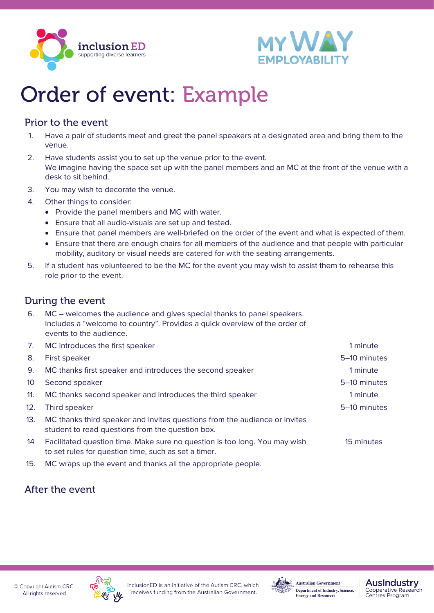



# Order of event: Example

### Prior to the event

- 1. Have a pair of students meet and greet the panel speakers at a designated area and bring them to the venue.
- 2. Have students assist you to set up the venue prior to the event. We imagine having the space set up with the panel members and an MC at the front of the venue with a desk to sit behind.
- 3. You may wish to decorate the venue.
- 4. Other things to consider:
	- Provide the panel members and MC with water.
	- Ensure that all audio-visuals are set up and tested.
	- Ensure that panel members are well-briefed on the order of the event and what is expected of them.
	- Ensure that there are enough chairs for all members of the audience and that people with particular mobility, auditory or visual needs are catered for with the seating arrangements.
- 5. If a student has volunteered to be the MC for the event you may wish to assist them to rehearse this role prior to the event.

### During the event

6. MC – welcomes the audience and gives special thanks to panel speakers. Includes a "welcome to country". Provides a quick overview of the order of events to the audience.

| 7.  | MC introduces the first speaker                                                                                                    |              |
|-----|------------------------------------------------------------------------------------------------------------------------------------|--------------|
| 8.  | <b>First speaker</b>                                                                                                               | 5-10 minutes |
| 9.  | MC thanks first speaker and introduces the second speaker                                                                          | 1 minute     |
|     | Second speaker                                                                                                                     | 5–10 minutes |
| 11. | MC thanks second speaker and introduces the third speaker                                                                          | A min⊔te     |
|     | Third speaker                                                                                                                      | 5–10 minutes |
| 13. | MC thanks third speaker and invites questions from the audience or invites<br>student to read questions from the question box.     |              |
| 14  | Facilitated question time. Make sure no question is too long. You may wish<br>to set rules for question time, such as set a timer. | 15 minutes   |
| 15. | MC wraps up the event and thanks all the appropriate people.                                                                       |              |

## After the event

C Copyright Autism CRC. All rights reserved





**Australian Government** Department of Industry, Science, **Energy and Resources** 

#### **Auslndustry** Cooperative Research<br>Centres Program